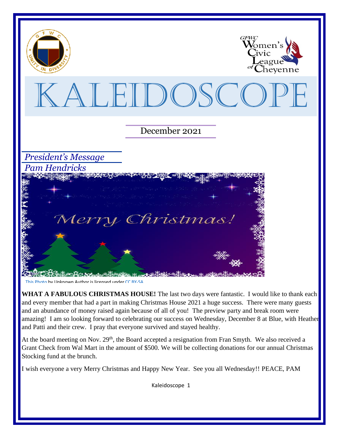

[This Photo](about:blank) by Unknown Author is licensed unde[r CC BY-SA](about:blank)

WHAT A FABULOUS CHRISTMAS HOUSE! The last two days were fantastic. I would like to thank each and every member that had a part in making Christmas House 2021 a huge success. There were many guests and an abundance of money raised again because of all of you! The preview party and break room were amazing! I am so looking forward to celebrating our success on Wednesday, December 8 at Blue, with Heather and Patti and their crew. I pray that everyone survived and stayed healthy.

At the board meeting on Nov.  $29<sup>th</sup>$ , the Board accepted a resignation from Fran Smyth. We also received a Grant Check from Wal Mart in the amount of \$500. We will be collecting donations for our annual Christmas Stocking fund at the brunch.

I wish everyone a very Merry Christmas and Happy New Year. See you all Wednesday!! PEACE, PAM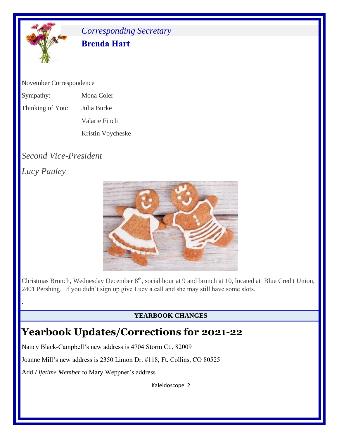

## *Corresponding Secretary* **Brenda Hart**

November Correspondence

- Sympathy: Mona Coler
- Thinking of You: Julia Burke
	- Valarie Finch

Kristin Voycheske

# *Second Vice-President*

*Lucy Pauley*

.



Christmas Brunch, Wednesday December 8<sup>th</sup>, social hour at 9 and brunch at 10, located at Blue Credit Union, 2401 Pershing. If you didn't sign up give Lucy a call and she may still have some slots.

#### **YEARBOOK CHANGES**

# **Yearbook Updates/Corrections for 2021-22**

Nancy Black-Campbell's new address is 4704 Storm Ct., 82009

Joanne Mill's new address is 2350 Limon Dr. #118, Ft. Collins, CO 80525

Add *Lifetime Member* to Mary Weppner's address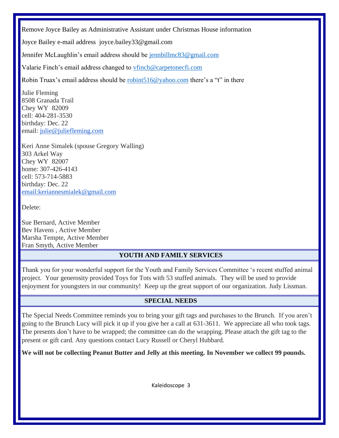Remove Joyce Bailey as Administrative Assistant under Christmas House information

Joyce Bailey e-mail address joyce.bailey33@gmail.com

Jennifer McLaughlin's email address should be [jennbillmc83@gmail.com](mailto:jennbillmc83@gmail.com)

Valarie Finch's email address changed to [vfinch@carpetonecfi.com](about:blank)

Robin Truax's email address should be [robint516@yahoo.com](about:blank) there's a "t" in there

Julie Fleming 8508 Granada Trail Chey WY 82009 cell: 404-281-3530 birthday: Dec. 22 email: [julie@juliefleming.com](mailto:julie@juliefleming.com)

Keri Anne Simalek (spouse Gregory Walling) 303 Arkel Way Chey WY 82007 home: 307-426-4143 cell: 573-714-5883 birthday: Dec. 22 [email:keriannesmialek@gmail.com](mailto:email%3Akeriannesmialek@gmail.com)

Delete:

Sue Bernard, Active Member Bev Havens , Active Member Marsha Tempte, Active Member Fran Smyth, Active Member

#### **YOUTH AND FAMILY SERVICES**

Thank you for your wonderful support for the Youth and Family Services Committee 's recent stuffed animal project. Your generosity provided Toys for Tots with 53 stuffed animals. They will be used to provide enjoyment for youngsters in our community! Keep up the great support of our organization. Judy Lissman.

#### **SPECIAL NEEDS**

The Special Needs Committee reminds you to bring your gift tags and purchases to the Brunch. If you aren't going to the Brunch Lucy will pick it up if you give her a call at 631-3611. We appreciate all who took tags. The presents don't have to be wrapped; the committee can do the wrapping. Please attach the gift tag to the present or gift card. Any questions contact Lucy Russell or Cheryl Hubbard.

**We will not be collecting Peanut Butter and Jelly at this meeting. In November we collect 99 pounds.**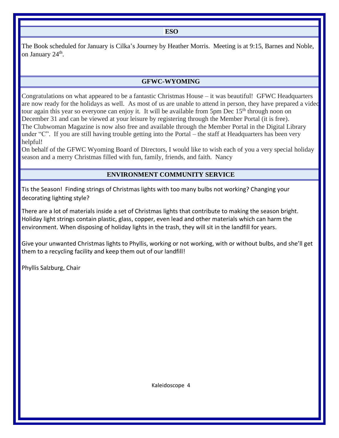**ESO**

The Book scheduled for January is Cilka's Journey by Heather Morris. Meeting is at 9:15, Barnes and Noble, on January 24<sup>th</sup>.

#### **GFWC-WYOMING**

Congratulations on what appeared to be a fantastic Christmas House – it was beautiful! GFWC Headquarters are now ready for the holidays as well. As most of us are unable to attend in person, they have prepared a video tour again this year so everyone can enjoy it. It will be available from 5pm Dec  $15<sup>th</sup>$  through noon on December 31 and can be viewed at your leisure by registering through the Member Portal (it is free). The Clubwoman Magazine is now also free and available through the Member Portal in the Digital Library under "C". If you are still having trouble getting into the Portal – the staff at Headquarters has been very helpful!

On behalf of the GFWC Wyoming Board of Directors, I would like to wish each of you a very special holiday season and a merry Christmas filled with fun, family, friends, and faith. Nancy

#### **ENVIRONMENT COMMUNITY SERVICE**

Tis the Season! Finding strings of Christmas lights with too many bulbs not working? Changing your decorating lighting style?

There are a lot of materials inside a set of Christmas lights that contribute to making the season bright. Holiday light strings contain plastic, glass, copper, even lead and other materials which can harm the environment. When disposing of holiday lights in the trash, they will sit in the landfill for years.

Give your unwanted Christmas lights to Phyllis, working or not working, with or without bulbs, and she'll get them to a recycling facility and keep them out of our landfill!

Phyllis Salzburg, Chair